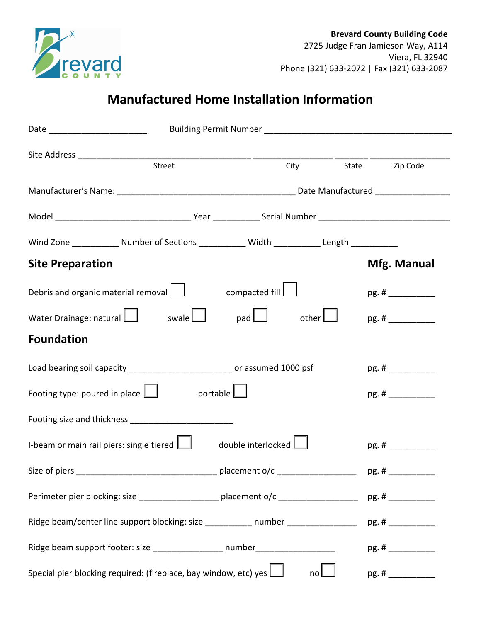

## **Manufactured Home Installation Information**

| Date _____________________________   |                                                                                                    |                    |                     |       |             |
|--------------------------------------|----------------------------------------------------------------------------------------------------|--------------------|---------------------|-------|-------------|
|                                      |                                                                                                    |                    |                     |       |             |
|                                      | Street                                                                                             |                    | City State Zip Code |       |             |
|                                      |                                                                                                    |                    |                     |       |             |
|                                      |                                                                                                    |                    |                     |       |             |
|                                      | Wind Zone ______________ Number of Sections _____________ Width ______________ Length ____________ |                    |                     |       |             |
| <b>Site Preparation</b>              |                                                                                                    |                    |                     |       | Mfg. Manual |
|                                      | Debris and organic material removal $\boxed{\phantom{a}}$                                          | compacted fill     |                     |       | pg. #       |
|                                      | Water Drainage: natural $\Box$ swale $\Box$ pad $\Box$                                             |                    | other $\Box$        |       |             |
| <b>Foundation</b>                    |                                                                                                    |                    |                     |       |             |
|                                      | Load bearing soil capacity ____________________________ or assumed 1000 psf                        |                    |                     |       |             |
| Footing type: poured in place $\Box$ |                                                                                                    | portable $\Box$    |                     |       | pg. #       |
|                                      | Footing size and thickness __________________________                                              |                    |                     |       |             |
|                                      | I-beam or main rail piers: single tiered $\Box$                                                    | double interlocked |                     |       |             |
| Size of piers                        |                                                                                                    | placement o/c      |                     | pg. # |             |
|                                      |                                                                                                    |                    |                     |       |             |
|                                      | Ridge beam/center line support blocking: size ___________ number _______________                   |                    |                     |       |             |
|                                      | Ridge beam support footer: size ___________________ number______________________                   |                    |                     |       |             |
|                                      | Special pier blocking required: (fireplace, bay window, etc) yes $\boxed{\phantom{a}}$             |                    | no                  |       |             |